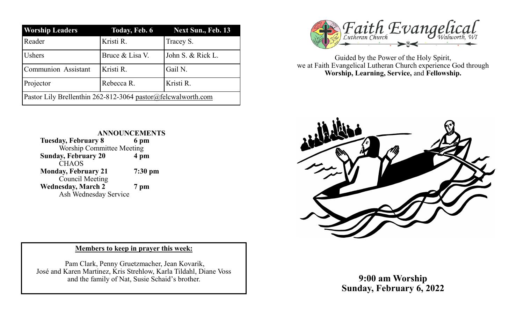| <b>Worship Leaders</b>                                       | Today, Feb. 6   | Next Sun., Feb. 13 |
|--------------------------------------------------------------|-----------------|--------------------|
| Reader                                                       | Kristi R.       | Tracey S.          |
| Ushers                                                       | Bruce & Lisa V. | John S. & Rick L.  |
| <b>Communion Assistant</b>                                   | Kristi R.       | Gail N.            |
| Projector                                                    | Rebecca R.      | Kristi R.          |
| Pastor Lily Brellenthin 262-812-3064 pastor@felcwalworth.com |                 |                    |



Guided by the Power of the Holy Spirit, we at Faith Evangelical Lutheran Church experience God through **Worship, Learning, Service,** and **Fellowship.**





## **Members to keep in prayer this week:**

Pam Clark, Penny Gruetzmacher, Jean Kovarik, José and Karen Martinez, Kris Strehlow, Karla Tildahl, Diane Voss and the family of Nat, Susie Schaid's brother.

**9:00 am Worship Sunday, February 6, 2022**